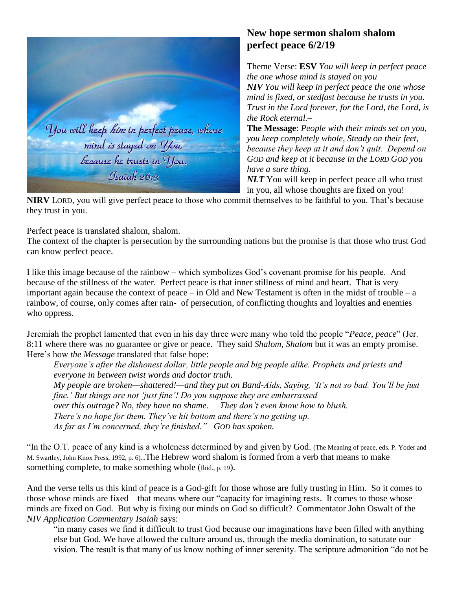

## **New hope sermon shalom shalom perfect peace 6/2/19**

Theme Verse: **ESV** *You will keep in perfect peace the one whose mind is stayed on you NIV You will keep in perfect peace the one whose mind is fixed, or stedfast because he trusts in you. Trust in the Lord forever, for the Lord, the Lord, is the Rock eternal.–*

**The Message**: *People with their minds set on you, you keep completely whole, Steady on their feet, because they keep at it and don't quit. Depend on GOD and keep at it because in the LORD GOD you have a sure thing.*

*NLT* You will keep in perfect peace all who trust in you, all whose thoughts are fixed on you!

**NIRV** LORD, you will give perfect peace to those who commit themselves to be faithful to you. That's because they trust in you.

Perfect peace is translated shalom, shalom.

The context of the chapter is persecution by the surrounding nations but the promise is that those who trust God can know perfect peace.

I like this image because of the rainbow – which symbolizes God's covenant promise for his people. And because of the stillness of the water. Perfect peace is that inner stillness of mind and heart. That is very important again because the context of peace – in Old and New Testament is often in the midst of trouble – a rainbow, of course, only comes after rain- of persecution, of conflicting thoughts and loyalties and enemies who oppress.

Jeremiah the prophet lamented that even in his day three were many who told the people "*Peace, peace*" (Jer. 8:11 where there was no guarantee or give or peace. They said *Shalom, Shalom* but it was an empty promise. Here's how *the Message* translated that false hope:

*Everyone's after the dishonest dollar, little people and big people alike. Prophets and priests and everyone in between twist words and doctor truth.*

*My people are broken—shattered!—and they put on Band-Aids, Saying, 'It's not so bad. You'll be just fine.' But things are not 'just fine'! Do you suppose they are embarrassed*

*over this outrage? No, they have no shame. They don't even know how to blush.*

*There's no hope for them. They've hit bottom and there's no getting up.*

*As far as I'm concerned, they're finished." GOD has spoken.*

"In the O.T. peace of any kind is a wholeness determined by and given by God. (The Meaning of peace, eds. P. Yoder and M. Swartley, John Knox Press, 1992, p. 6)..The Hebrew word shalom is formed from a verb that means to make something complete, to make something whole (Ibid., p. 19).

And the verse tells us this kind of peace is a God-gift for those whose are fully trusting in Him. So it comes to those whose minds are fixed – that means where our "capacity for imagining rests. It comes to those whose minds are fixed on God. But why is fixing our minds on God so difficult? Commentator John Oswalt of the *NIV Application Commentary Isaiah* says:

"in many cases we find it difficult to trust God because our imaginations have been filled with anything else but God. We have allowed the culture around us, through the media domination, to saturate our vision. The result is that many of us know nothing of inner serenity. The scripture admonition "do not be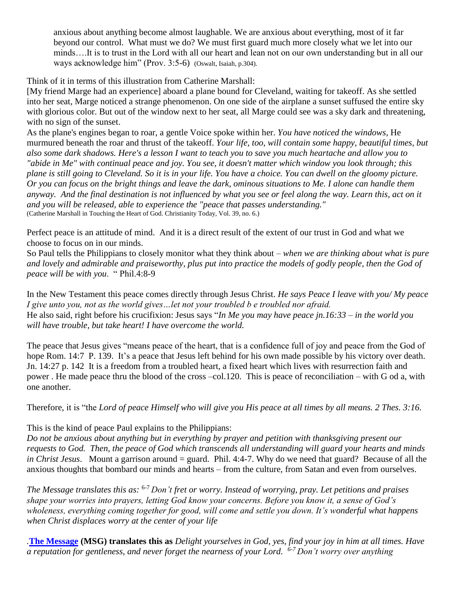anxious about anything become almost laughable. We are anxious about everything, most of it far beyond our control. What must we do? We must first guard much more closely what we let into our minds….It is to trust in the Lord with all our heart and lean not on our own understanding but in all our ways acknowledge him" (Prov. 3:5-6) (Oswalt, Isaiah, p.304).

Think of it in terms of this illustration from Catherine Marshall:

[My friend Marge had an experience] aboard a plane bound for Cleveland, waiting for takeoff. As she settled into her seat, Marge noticed a strange phenomenon. On one side of the airplane a sunset suffused the entire sky with glorious color. But out of the window next to her seat, all Marge could see was a sky dark and threatening, with no sign of the sunset.

As the plane's engines began to roar, a gentle Voice spoke within her. *You have noticed the windows*, He murmured beneath the roar and thrust of the takeoff. *Your life, too, will contain some happy, beautiful times, but also some dark shadows. Here's a lesson I want to teach you to save you much heartache and allow you to "abide in Me" with continual peace and joy. You see, it doesn't matter which window you look through; this plane is still going to Cleveland. So it is in your life. You have a choice. You can dwell on the gloomy picture. Or you can focus on the bright things and leave the dark, ominous situations to Me. I alone can handle them anyway. And the final destination is not influenced by what you see or feel along the way. Learn this, act on it and you will be released, able to experience the "peace that passes understanding."*  (Catherine Marshall in Touching the Heart of God. Christianity Today, Vol. 39, no. 6.)

Perfect peace is an attitude of mind. And it is a direct result of the extent of our trust in God and what we choose to focus on in our minds.

So Paul tells the Philippians to closely monitor what they think about – *when we are thinking about what is pure*  and lovely and admirable and praiseworthy, plus put into practice the models of godly people, then the God of *peace will be with you*. " Phil.4:8-9

In the New Testament this peace comes directly through Jesus Christ. *He says Peace I leave with you/ My peace I give unto you, not as the world gives…let not your troubled b e troubled nor afraid.* He also said, right before his crucifixion: Jesus says "*In Me you may have peace jn.16:33 – in the world you will have trouble, but take heart! I have overcome the world.*

The peace that Jesus gives "means peace of the heart, that is a confidence full of joy and peace from the God of hope Rom. 14:7 P. 139. It's a peace that Jesus left behind for his own made possible by his victory over death. Jn. 14:27 p. 142 It is a freedom from a troubled heart, a fixed heart which lives with resurrection faith and power . He made peace thru the blood of the cross –col.120. This is peace of reconciliation – with G od a, with one another.

Therefore, it is "the *Lord of peace Himself who will give you His peace at all times by all means. 2 Thes. 3:16.*

This is the kind of peace Paul explains to the Philippians:

*Do not be anxious about anything but in everything by prayer and petition with thanksgiving present our requests to God. Then, the peace of God which transcends all understanding will guard your hearts and minds in Christ Jesus*. Mount a garrison around = guard. Phil. 4:4-7. Why do we need that guard? Because of all the anxious thoughts that bombard our minds and hearts – from the culture, from Satan and even from ourselves.

*The Message translates this as:* 6-7 *Don't fret or worry. Instead of worrying, pray. Let petitions and praises shape your worries into prayers, letting God know your concerns. Before you know it, a sense of God's wholeness, everything coming together for good, will come and settle you down. It's wonderful what happens when Christ displaces worry at the center of your life*

*.***[The Message](https://www.biblegateway.com/versions/Message-MSG-Bible/) (MSG) translates this as** *Delight yourselves in God, yes, find your joy in him at all times. Have a reputation for gentleness, and never forget the nearness of your Lord. 6-7 Don't worry over anything*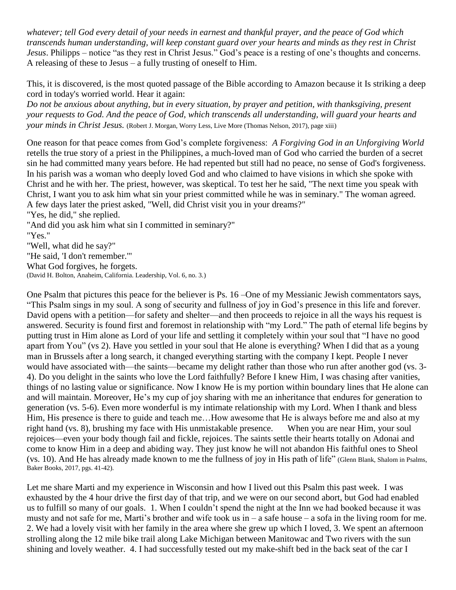*whatever; tell God every detail of your needs in earnest and thankful prayer, and the peace of God which transcends human understanding, will keep constant guard over your hearts and minds as they rest in Christ Jesus*. Philipps – notice "as they rest in Christ Jesus." God's peace is a resting of one's thoughts and concerns. A releasing of these to Jesus – a fully trusting of oneself to Him.

This, it is discovered, is the most quoted passage of the Bible according to Amazon because it Is striking a deep cord in today's worried world. Hear it again:

*Do not be anxious about anything, but in every situation, by prayer and petition, with thanksgiving, present your requests to God. And the peace of God, which transcends all understanding, will guard your hearts and your minds in Christ Jesus.* (Robert J. Morgan, Worry Less, Live More (Thomas Nelson, 2017), page xiii)

One reason for that peace comes from God's complete forgiveness: *A Forgiving God in an Unforgiving World* retells the true story of a priest in the Philippines, a much-loved man of God who carried the burden of a secret sin he had committed many years before. He had repented but still had no peace, no sense of God's forgiveness. In his parish was a woman who deeply loved God and who claimed to have visions in which she spoke with Christ and he with her. The priest, however, was skeptical. To test her he said, "The next time you speak with Christ, I want you to ask him what sin your priest committed while he was in seminary." The woman agreed. A few days later the priest asked, "Well, did Christ visit you in your dreams?"

"Yes, he did," she replied.

"And did you ask him what sin I committed in seminary?" "Yes." "Well, what did he say?" "He said, 'I don't remember.'" What God forgives, he forgets. (David H. Bolton, Anaheim, California. Leadership, Vol. 6, no. 3.)

One Psalm that pictures this peace for the believer is Ps. 16 –One of my Messianic Jewish commentators says, "This Psalm sings in my soul. A song of security and fullness of joy in God's presence in this life and forever. David opens with a petition—for safety and shelter—and then proceeds to rejoice in all the ways his request is answered. Security is found first and foremost in relationship with "my Lord." The path of eternal life begins by putting trust in Him alone as Lord of your life and settling it completely within your soul that "I have no good apart from You" (vs 2). Have you settled in your soul that He alone is everything? When I did that as a young man in Brussels after a long search, it changed everything starting with the company I kept. People I never would have associated with—the saints—became my delight rather than those who run after another god (vs. 3- 4). Do you delight in the saints who love the Lord faithfully? Before I knew Him, I was chasing after vanities, things of no lasting value or significance. Now I know He is my portion within boundary lines that He alone can and will maintain. Moreover, He's my cup of joy sharing with me an inheritance that endures for generation to generation (vs. 5-6). Even more wonderful is my intimate relationship with my Lord. When I thank and bless Him, His presence is there to guide and teach me…How awesome that He is always before me and also at my right hand (vs. 8), brushing my face with His unmistakable presence. When you are near Him, your soul rejoices—even your body though fail and fickle, rejoices. The saints settle their hearts totally on Adonai and come to know Him in a deep and abiding way. They just know he will not abandon His faithful ones to Sheol (vs. 10). And He has already made known to me the fullness of joy in His path of life" (Glenn Blank, Shalom in Psalms, Baker Books, 2017, pgs. 41-42).

Let me share Marti and my experience in Wisconsin and how I lived out this Psalm this past week. I was exhausted by the 4 hour drive the first day of that trip, and we were on our second abort, but God had enabled us to fulfill so many of our goals. 1. When I couldn't spend the night at the Inn we had booked because it was musty and not safe for me, Marti's brother and wife took us in – a safe house – a sofa in the living room for me. 2. We had a lovely visit with her family in the area where she grew up which I loved, 3. We spent an afternoon strolling along the 12 mile bike trail along Lake Michigan between Manitowac and Two rivers with the sun shining and lovely weather. 4. I had successfully tested out my make-shift bed in the back seat of the car I